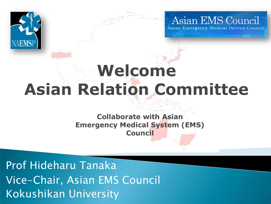

Asian EMS Council

### **Welcome Asian Relation Committee**

#### **Collaborate with Asian Emergency Medical System (EMS) Council**

Prof Hideharu Tanaka Vice-Chair, Asian EMS Council Kokushikan University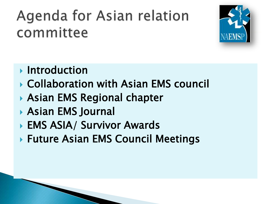#### Agenda for Asian relation committee



- **Introduction**
- Collaboration with Asian EMS council
- ▶ Asian EMS Regional chapter
- Asian EMS Journal
- ▶ EMS ASIA/ Survivor Awards
- ▶ Future Asian EMS Council Meetings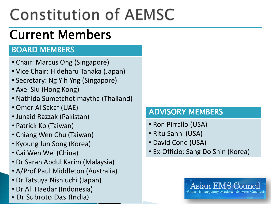## **Constitution of AEMSC**

#### Current Members

#### BOARD MEMBERS

- Chair: Marcus Ong (Singapore)
- Vice Chair: Hideharu Tanaka (Japan)
- Secretary: Ng Yih Yng (Singapore)
- Axel Siu (Hong Kong)
- Nathida Sumetchotimaytha (Thailand)
- Omer Al Sakaf (UAE)
- Junaid Razzak (Pakistan)
- Patrick Ko (Taiwan)
- Chiang Wen Chu (Taiwan)
- Kyoung Jun Song (Korea)
- Cai Wen Wei (China)
- Dr Sarah Abdul Karim (Malaysia)
- A/Prof Paul Middleton (Australia)
- Dr Tatsuya Nishiuchi (Japan)
- Dr Ali Haedar (Indonesia)
- Dr Subroto Das (India)

#### ADVISORY MEMBERS

- Ron Pirrallo (USA)
- Ritu Sahni (USA)
- David Cone (USA)
- Ex-Officio: Sang Do Shin (Korea)

Asian EMS Coun sian Emergency Medical Service Council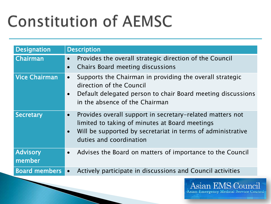## **Constitution of AEMSC**

| <b>Designation</b>        | <b>Description</b>                                                                                                                                                                                                 |  |
|---------------------------|--------------------------------------------------------------------------------------------------------------------------------------------------------------------------------------------------------------------|--|
| Chairman                  | Provides the overall strategic direction of the Council<br>$\bullet$<br>Chairs Board meeting discussions<br>$\bullet$                                                                                              |  |
| <b>Vice Chairman</b>      | Supports the Chairman in providing the overall strategic<br>$\bullet$<br>direction of the Council<br>Default delegated person to chair Board meeting discussions<br>in the absence of the Chairman                 |  |
| <b>Secretary</b>          | Provides overall support in secretary-related matters not<br>$\bullet$<br>limited to taking of minutes at Board meetings<br>Will be supported by secretariat in terms of administrative<br>duties and coordination |  |
| <b>Advisory</b><br>member | Advises the Board on matters of importance to the Council<br>$\bullet$                                                                                                                                             |  |
| <b>Board members</b>      | Actively participate in discussions and Council activities<br>$\bullet$                                                                                                                                            |  |

Asian EMS Council Asian Emergency Medical Service Council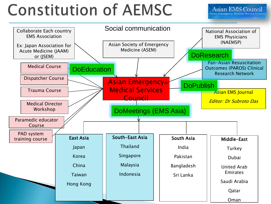## **Constitution of AEMSC**

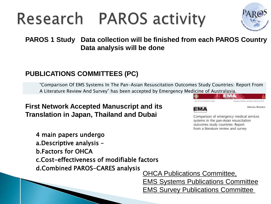### Research PAROS activity



**PAROS 1 Study Data collection will be finished from each PAROS Country Data analysis will be done**

#### **PUBLICATIONS COMMITTEES (PC)**

"Comparison Of EMS Systems In The Pan-Asian Resuscitation Outcomes Study Countries: Report From A Literature Review And Survey" has been accepted by Emergency Medicine of Australasia.

**First Network Accepted Manuscript and its Translation in Japan, Thailand and Dubai**

| illiit ol Australdsid. |                          |
|------------------------|--------------------------|
| 44: HESS/1748470112012 |                          |
|                        | <b>CHICINAL RESEARCH</b> |

Comparison of emergency medical services systems in the pan-Asian resuscitation outcomes study countries: Report from a literature review and survey

4 main papers undergo a.Descriptive analysis – b.Factors for OHCA c.Cost-effectiveness of modifiable factors d.Combined PAROS-CARES analysis

OHCA Publications Committee, EMS Systems Publications Committee EMS Survey Publications Committee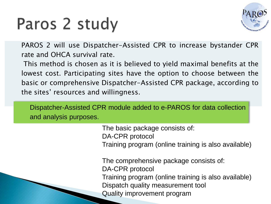### Paros 2 study



PAROS 2 will use Dispatcher-Assisted CPR to increase bystander CPR rate and OHCA survival rate.

This method is chosen as it is believed to yield maximal benefits at the lowest cost. Participating sites have the option to choose between the basic or comprehensive Dispatcher-Assisted CPR package, according to the sites' resources and willingness.

Dispatcher-Assisted CPR module added to e-PAROS for data collection and analysis purposes.

> The basic package consists of: DA-CPR protocol Training program (online training is also available)

> The comprehensive package consists of: DA-CPR protocol Training program (online training is also available) Dispatch quality measurement tool Quality improvement program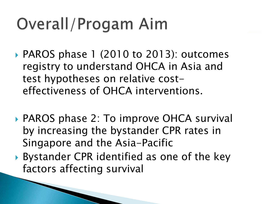## Overall/Progam Aim

- ▶ PAROS phase 1 (2010 to 2013): outcomes registry to understand OHCA in Asia and test hypotheses on relative costeffectiveness of OHCA interventions.
- ▶ PAROS phase 2: To improve OHCA survival by increasing the bystander CPR rates in Singapore and the Asia-Pacific
- Bystander CPR identified as one of the key factors affecting survival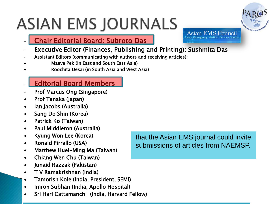# **ASIAN EMS JOURNALS**

- Chair Editorial Board: Subroto Das
- Executive Editor (Finances, Publishing and Printing): Sushmita Das
- Assistant Editors (communicating with authors and receiving articles):
- Maeve Pek (in East and South East Asia)
- Roochita Desai (in South Asia and West Asia)
- **Editorial Board Members**
- Prof Marcus Ong (Singapore)
- Prof Tanaka (Japan)

Ĺ

- Ian Jacobs (Australia)
- Sang Do Shin (Korea)
- Patrick Ko (Taiwan)
- Paul Middleton (Australia)
- Kyung Won Lee (Korea)
- Ronald Pirrallo (USA)
- Matthew Huei-Ming Ma (Taiwan)
- Chiang Wen Chu (Taiwan)
- Junaid Razzak (Pakistan)
- T V Ramakrishnan (India)
- Tamorish Kole (India, President, SEMI)
- Imron Subhan (India, Apollo Hospital)
- Sri Hari Cattamanchi (India, Harvard Fellow)

that the Asian EMS journal could invite submissions of articles from NAEMSP.



Asian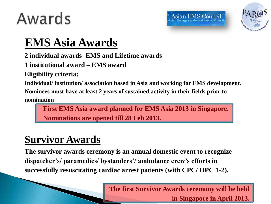### Awards



#### **EMS Asia Awards**

**2 individual awards- EMS and Lifetime awards**

**1 institutional award – EMS award**

**Eligibility criteria:**

**Individual/ institution/ association based in Asia and working for EMS development.**

**Nominees must have at least 2 years of sustained activity in their fields prior to** 

**nomination**

 **First EMS Asia award planned for EMS Asia 2013 in Singapore. Nominations are opened till 28 Feb 2013.** 

#### **Survivor Awards**

**The survivor awards ceremony is an annual domestic event to recognize dispatcher's/ paramedics/ bystanders'/ ambulance crew's efforts in successfully resuscitating cardiac arrest patients (with CPC/ OPC 1-2).** 

> **The first Survivor Awards ceremony will be held in Singapore in April 2013.**

Asian EMS Council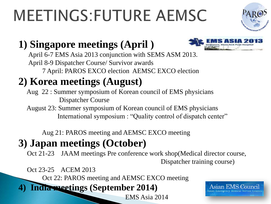# **MEETINGS:FUTURE AEMSC**



#### **1) Singapore meetings (April )**



 April 6-7 EMS Asia 2013 conjunction with SEMS ASM 2013. April 8-9 Dispatcher Course/ Survivor awards 7 April: PAROS EXCO election AEMSC EXCO election

#### **2) Korea meetings (August)**

 Aug 22 : Summer symposium of Korean council of EMS physicians Dispatcher Course

 August 23: Summer symposium of Korean council of EMS physicians International symposium : "Quality control of dispatch center"

Aug 21: PAROS meeting and AEMSC EXCO meeting

#### **3) Japan meetings (October)**

 Oct 21-23 JAAM meetings Pre conference work shop(Medical director course, Dispatcher training course)

Oct 23-25 ACEM 2013

Oct 22: PAROS meeting and AEMSC EXCO meeting

**4) India meetings (September 2014)**

EMS Asia 2014